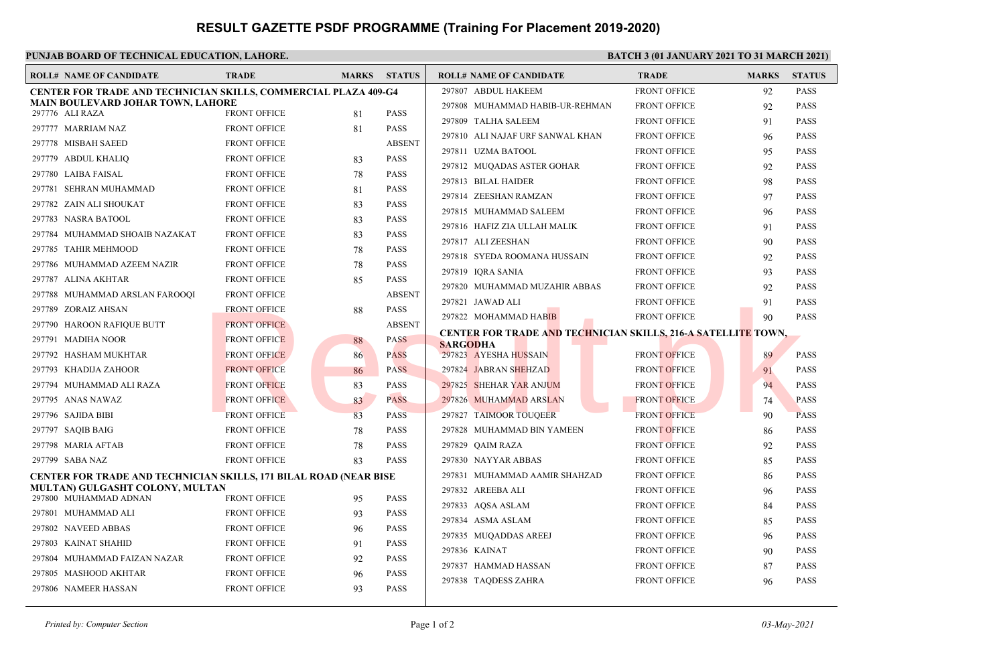## **RESULT GAZETTE PSDF PROGRAMME (Training For Placement 2019-2020)**

## **PUNJAB BOARD OF TECHNICAL EDUCATION, LAHORE. BATCH 3 (01 JANUARY 2021 TO 31 MARCH 2021)**

| <b>ROLL# NAME OF CANDIDATE</b>                                         | <b>TRADE</b>        | <b>MARKS</b>        | <b>STATUS</b>       | <b>ROLL# NAME OF CANDIDATE</b>                                | <b>TRADE</b>        | <b>MARKS</b> | <b>STATUS</b> |
|------------------------------------------------------------------------|---------------------|---------------------|---------------------|---------------------------------------------------------------|---------------------|--------------|---------------|
| <b>CENTER FOR TRADE AND TECHNICIAN SKILLS, COMMERCIAL PLAZA 409-G4</b> |                     | 297807 ABDUL HAKEEM | <b>FRONT OFFICE</b> | 92                                                            | <b>PASS</b>         |              |               |
| <b>MAIN BOULEVARD JOHAR TOWN, LAHORE</b><br>297776 ALI RAZA            | <b>FRONT OFFICE</b> |                     | <b>PASS</b>         | 297808 MUHAMMAD HABIB-UR-REHMAN                               | <b>FRONT OFFICE</b> | 92           | <b>PASS</b>   |
| 297777 MARRIAM NAZ                                                     | <b>FRONT OFFICE</b> | 81                  | <b>PASS</b>         | 297809 TALHA SALEEM                                           | <b>FRONT OFFICE</b> | 91           | <b>PASS</b>   |
| 297778 MISBAH SAEED                                                    | <b>FRONT OFFICE</b> | 81                  | <b>ABSENT</b>       | 297810 ALI NAJAF URF SANWAL KHAN                              | <b>FRONT OFFICE</b> | 96           | <b>PASS</b>   |
|                                                                        |                     |                     |                     | 297811 UZMA BATOOL                                            | <b>FRONT OFFICE</b> | 95           | <b>PASS</b>   |
| 297779 ABDUL KHALIQ                                                    | <b>FRONT OFFICE</b> | 83                  | <b>PASS</b>         | 297812 MUQADAS ASTER GOHAR                                    | <b>FRONT OFFICE</b> | 92           | <b>PASS</b>   |
| 297780 LAIBA FAISAL                                                    | <b>FRONT OFFICE</b> | 78                  | <b>PASS</b>         | 297813 BILAL HAIDER                                           | <b>FRONT OFFICE</b> | 98           | <b>PASS</b>   |
| 297781 SEHRAN MUHAMMAD                                                 | <b>FRONT OFFICE</b> | 81                  | <b>PASS</b>         | 297814 ZEESHAN RAMZAN                                         | <b>FRONT OFFICE</b> | 97           | <b>PASS</b>   |
| 297782 ZAIN ALI SHOUKAT                                                | <b>FRONT OFFICE</b> | 83                  | <b>PASS</b>         | 297815 MUHAMMAD SALEEM                                        | <b>FRONT OFFICE</b> | 96           | <b>PASS</b>   |
| 297783 NASRA BATOOL                                                    | <b>FRONT OFFICE</b> | 83                  | <b>PASS</b>         | 297816 HAFIZ ZIA ULLAH MALIK                                  | <b>FRONT OFFICE</b> | 91           | <b>PASS</b>   |
| 297784 MUHAMMAD SHOAIB NAZAKAT                                         | <b>FRONT OFFICE</b> | 83                  | <b>PASS</b>         | 297817 ALI ZEESHAN                                            | <b>FRONT OFFICE</b> | 90           | <b>PASS</b>   |
| 297785 TAHIR MEHMOOD                                                   | <b>FRONT OFFICE</b> | 78                  | <b>PASS</b>         | 297818 SYEDA ROOMANA HUSSAIN                                  | <b>FRONT OFFICE</b> | 92           | <b>PASS</b>   |
| 297786 MUHAMMAD AZEEM NAZIR                                            | <b>FRONT OFFICE</b> | 78                  | <b>PASS</b>         | 297819 IQRA SANIA                                             | <b>FRONT OFFICE</b> | 93           | <b>PASS</b>   |
| 297787 ALINA AKHTAR                                                    | <b>FRONT OFFICE</b> | 85                  | <b>PASS</b>         | 297820 MUHAMMAD MUZAHIR ABBAS                                 | <b>FRONT OFFICE</b> | 92           | <b>PASS</b>   |
| 297788 MUHAMMAD ARSLAN FAROOQI                                         | <b>FRONT OFFICE</b> |                     | <b>ABSENT</b>       | 297821 JAWAD ALI                                              | <b>FRONT OFFICE</b> | 91           | <b>PASS</b>   |
| 297789 ZORAIZ AHSAN                                                    | <b>FRONT OFFICE</b> | 88                  | <b>PASS</b>         | 297822 MOHAMMAD HABIB                                         | <b>FRONT OFFICE</b> | 90           | <b>PASS</b>   |
| 297790 HAROON RAFIQUE BUTT                                             | <b>FRONT OFFICE</b> |                     | <b>ABSENT</b>       | CENTER FOR TRADE AND TECHNICIAN SKILLS, 216-A SATELLITE TOWN, |                     |              |               |
| 297791 MADIHA NOOR                                                     | <b>FRONT OFFICE</b> | 88                  | <b>PASS</b>         | <b>SARGODHA</b>                                               |                     |              |               |
| 297792 HASHAM MUKHTAR                                                  | <b>FRONT OFFICE</b> | 86                  | <b>PASS</b>         | 297823 AYESHA HUSSAIN                                         | <b>FRONT OFFICE</b> | 89           | <b>PASS</b>   |
| 297793 KHADIJA ZAHOOR                                                  | <b>FRONT OFFICE</b> | 86                  | <b>PASS</b>         | 297824 JABRAN SHEHZAD                                         | <b>FRONT OFFICE</b> | 91           | <b>PASS</b>   |
| 297794 MUHAMMAD ALI RAZA                                               | <b>FRONT OFFICE</b> | 83                  | <b>PASS</b>         | 297825 SHEHAR YAR ANJUM                                       | <b>FRONT OFFICE</b> | 94           | <b>PASS</b>   |
| 297795 ANAS NAWAZ                                                      | <b>FRONT OFFICE</b> | 83                  | <b>PASS</b>         | 297826 MUHAMMAD ARSLAN                                        | <b>FRONT OFFICE</b> | 74           | <b>PASS</b>   |
| 297796 SAJIDA BIBI                                                     | <b>FRONT OFFICE</b> | 83                  | <b>PASS</b>         | 297827 TAIMOOR TOUQEER                                        | <b>FRONT OFFICE</b> | 90           | <b>PASS</b>   |
| 297797 SAQIB BAIG                                                      | <b>FRONT OFFICE</b> | 78                  | <b>PASS</b>         | 297828 MUHAMMAD BIN YAMEEN                                    | <b>FRONT OFFICE</b> | 86           | <b>PASS</b>   |
| 297798 MARIA AFTAB                                                     | <b>FRONT OFFICE</b> | 78                  | <b>PASS</b>         | 297829 OAIM RAZA                                              | <b>FRONT OFFICE</b> | 92           | <b>PASS</b>   |
| 297799 SABA NAZ                                                        | <b>FRONT OFFICE</b> | 83                  | <b>PASS</b>         | 297830 NAYYAR ABBAS                                           | <b>FRONT OFFICE</b> | 85           | <b>PASS</b>   |
| CENTER FOR TRADE AND TECHNICIAN SKILLS, 171 BILAL ROAD (NEAR BISE      |                     |                     |                     | 297831 MUHAMMAD AAMIR SHAHZAD                                 | <b>FRONT OFFICE</b> | 86           | <b>PASS</b>   |
| MULTAN) GULGASHT COLONY, MULTAN<br>297800 MUHAMMAD ADNAN               | <b>FRONT OFFICE</b> | 95                  | <b>PASS</b>         | 297832 AREEBA ALI                                             | <b>FRONT OFFICE</b> | 96           | <b>PASS</b>   |
| 297801 MUHAMMAD ALI                                                    | <b>FRONT OFFICE</b> |                     | <b>PASS</b>         | 297833 AQSA ASLAM                                             | <b>FRONT OFFICE</b> | 84           | <b>PASS</b>   |
|                                                                        |                     | 93                  |                     | 297834 ASMA ASLAM                                             | <b>FRONT OFFICE</b> | 85           | <b>PASS</b>   |
| 297802 NAVEED ABBAS                                                    | <b>FRONT OFFICE</b> | 96                  | <b>PASS</b>         | 297835 MUQADDAS AREEJ                                         | <b>FRONT OFFICE</b> | 96           | <b>PASS</b>   |
| 297803 KAINAT SHAHID                                                   | <b>FRONT OFFICE</b> | 91                  | <b>PASS</b>         | 297836 KAINAT                                                 | <b>FRONT OFFICE</b> | 90           | <b>PASS</b>   |
| 297804 MUHAMMAD FAIZAN NAZAR                                           | <b>FRONT OFFICE</b> | 92                  | <b>PASS</b>         | 297837 HAMMAD HASSAN                                          | <b>FRONT OFFICE</b> | 87           | <b>PASS</b>   |
| 297805 MASHOOD AKHTAR                                                  | <b>FRONT OFFICE</b> | 96                  | <b>PASS</b>         | 297838 TAODESS ZAHRA                                          | <b>FRONT OFFICE</b> | 96           | <b>PASS</b>   |
| 297806 NAMEER HASSAN                                                   | <b>FRONT OFFICE</b> | 93                  | <b>PASS</b>         |                                                               |                     |              |               |